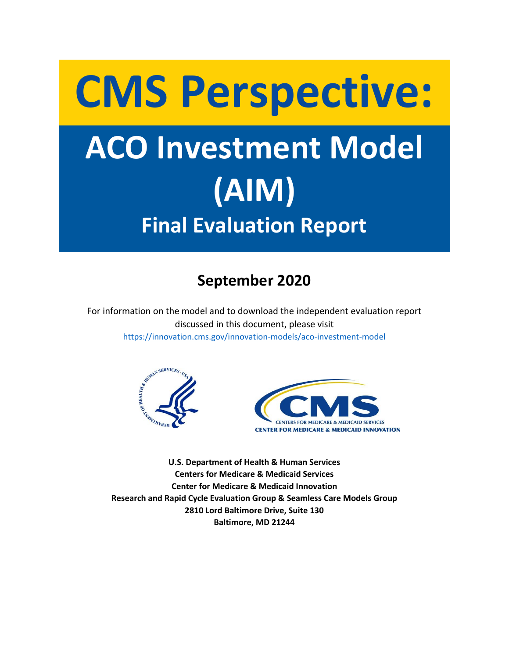## **CMS Perspective: ACO Investment Model (AIM) Final Evaluation Report**

## **September 2020**

For information on the model and to download the independent evaluation report discussed in this document, please visit <https://innovation.cms.gov/innovation-models/aco-investment-model>





**U.S. Department of Health & Human Services Centers for Medicare & Medicaid Services Center for Medicare & Medicaid Innovation Research and Rapid Cycle Evaluation Group & Seamless Care Models Group 2810 Lord Baltimore Drive, Suite 130 Baltimore, MD 21244**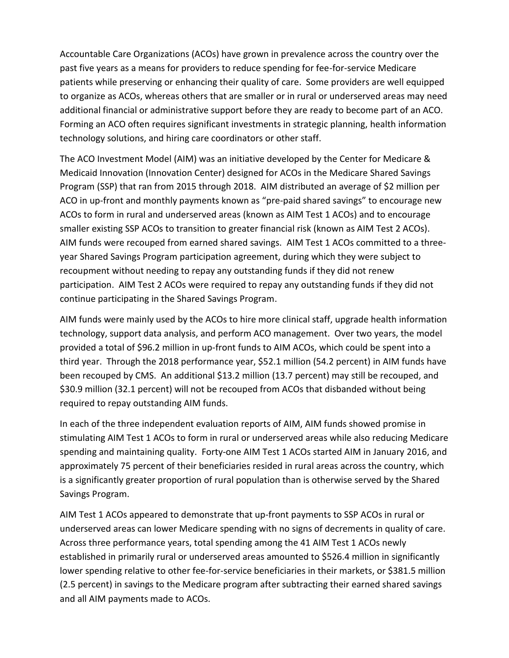Accountable Care Organizations (ACOs) have grown in prevalence across the country over the past five years as a means for providers to reduce spending for fee-for-service Medicare patients while preserving or enhancing their quality of care. Some providers are well equipped to organize as ACOs, whereas others that are smaller or in rural or underserved areas may need additional financial or administrative support before they are ready to become part of an ACO. Forming an ACO often requires significant investments in strategic planning, health information technology solutions, and hiring care coordinators or other staff.

The ACO Investment Model (AIM) was an initiative developed by the Center for Medicare & Medicaid Innovation (Innovation Center) designed for ACOs in the Medicare Shared Savings Program (SSP) that ran from 2015 through 2018. AIM distributed an average of \$2 million per ACO in up-front and monthly payments known as "pre-paid shared savings" to encourage new ACOs to form in rural and underserved areas (known as AIM Test 1 ACOs) and to encourage smaller existing SSP ACOs to transition to greater financial risk (known as AIM Test 2 ACOs). AIM funds were recouped from earned shared savings. AIM Test 1 ACOs committed to a threeyear Shared Savings Program participation agreement, during which they were subject to recoupment without needing to repay any outstanding funds if they did not renew participation. AIM Test 2 ACOs were required to repay any outstanding funds if they did not continue participating in the Shared Savings Program.

AIM funds were mainly used by the ACOs to hire more clinical staff, upgrade health information technology, support data analysis, and perform ACO management. Over two years, the model provided a total of \$96.2 million in up-front funds to AIM ACOs, which could be spent into a third year. Through the 2018 performance year, \$52.1 million (54.2 percent) in AIM funds have been recouped by CMS. An additional \$13.2 million (13.7 percent) may still be recouped, and \$30.9 million (32.1 percent) will not be recouped from ACOs that disbanded without being required to repay outstanding AIM funds.

In each of the three independent evaluation reports of AIM, AIM funds showed promise in stimulating AIM Test 1 ACOs to form in rural or underserved areas while also reducing Medicare spending and maintaining quality. Forty-one AIM Test 1 ACOs started AIM in January 2016, and approximately 75 percent of their beneficiaries resided in rural areas across the country, which is a significantly greater proportion of rural population than is otherwise served by the Shared Savings Program.

AIM Test 1 ACOs appeared to demonstrate that up-front payments to SSP ACOs in rural or underserved areas can lower Medicare spending with no signs of decrements in quality of care. Across three performance years, total spending among the 41 AIM Test 1 ACOs newly established in primarily rural or underserved areas amounted to \$526.4 million in significantly lower spending relative to other fee-for-service beneficiaries in their markets, or \$381.5 million (2.5 percent) in savings to the Medicare program after subtracting their earned shared savings and all AIM payments made to ACOs.